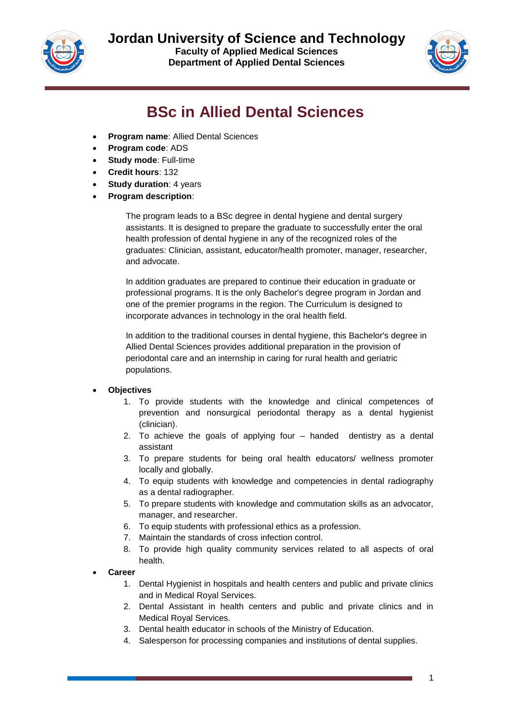



# **BSc in Allied Dental Sciences**

- **Program name**: Allied Dental Sciences
- **Program code**: ADS
- **Study mode**: Full-time
- **Credit hours**: 132
- **Study duration**: 4 years
- **Program description**:

The program leads to a BSc degree in dental hygiene and dental surgery assistants. It is designed to prepare the graduate to successfully enter the oral health profession of dental hygiene in any of the recognized roles of the graduates: Clinician, assistant, educator/health promoter, manager, researcher, and advocate.

In addition graduates are prepared to continue their education in graduate or professional programs. It is the only Bachelor's degree program in Jordan and one of the premier programs in the region. The Curriculum is designed to incorporate advances in technology in the oral health field.

In addition to the traditional courses in dental hygiene, this Bachelor's degree in Allied Dental Sciences provides additional preparation in the provision of periodontal care and an internship in caring for rural health and geriatric populations.

#### **Objectives**

- 1. To provide students with the knowledge and clinical competences of prevention and nonsurgical periodontal therapy as a dental hygienist (clinician).
- 2. To achieve the goals of applying four handed dentistry as a dental assistant
- 3. To prepare students for being oral health educators/ wellness promoter locally and globally.
- 4. To equip students with knowledge and competencies in dental radiography as a dental radiographer.
- 5. To prepare students with knowledge and commutation skills as an advocator, manager, and researcher.
- 6. To equip students with professional ethics as a profession.
- 7. Maintain the standards of cross infection control.
- 8. To provide high quality community services related to all aspects of oral health.
- **Career**
	- 1. Dental Hygienist in hospitals and health centers and public and private clinics and in Medical Royal Services.
	- 2. Dental Assistant in health centers and public and private clinics and in Medical Royal Services.
	- 3. Dental health educator in schools of the Ministry of Education.
	- 4. Salesperson for processing companies and institutions of dental supplies.

1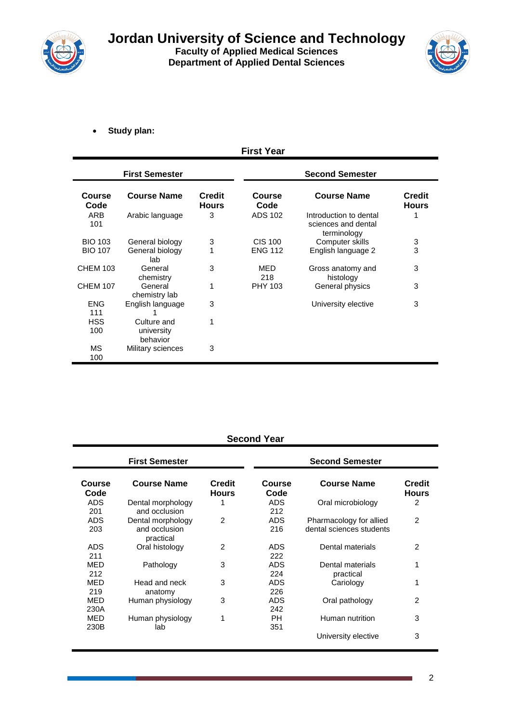



#### **Study plan:**

| <b>First Year</b>     |                          |                               |                        |                                                              |                               |
|-----------------------|--------------------------|-------------------------------|------------------------|--------------------------------------------------------------|-------------------------------|
| <b>First Semester</b> |                          |                               | <b>Second Semester</b> |                                                              |                               |
| Course<br>Code        | <b>Course Name</b>       | <b>Credit</b><br><b>Hours</b> | Course<br>Code         | <b>Course Name</b>                                           | <b>Credit</b><br><b>Hours</b> |
| ARB<br>101            | Arabic language          | 3                             | <b>ADS 102</b>         | Introduction to dental<br>sciences and dental<br>terminology | 1                             |
| <b>BIO 103</b>        | General biology          | 3                             | CIS 100                | Computer skills                                              |                               |
| <b>BIO 107</b>        | General biology<br>lab   | 1                             | <b>ENG 112</b>         | English language 2                                           | $\frac{3}{3}$                 |
| <b>CHEM 103</b>       | General<br>chemistry     | 3                             | MED<br>218             | Gross anatomy and<br>histology                               | 3                             |
| <b>CHEM 107</b>       | General<br>chemistry lab | 1                             | <b>PHY 103</b>         | General physics                                              | 3                             |
| <b>ENG</b>            | English language         | 3                             |                        | University elective                                          | 3                             |
| 111                   |                          |                               |                        |                                                              |                               |
| <b>HSS</b>            | Culture and              | 1                             |                        |                                                              |                               |
| 100                   | university<br>behavior   |                               |                        |                                                              |                               |
| МS<br>100             | Military sciences        | 3                             |                        |                                                              |                               |

### **Second Year**

| <b>First Semester</b> |                            |                               | <b>Second Semester</b> |                          |                               |
|-----------------------|----------------------------|-------------------------------|------------------------|--------------------------|-------------------------------|
| Course<br>Code        | <b>Course Name</b>         | <b>Credit</b><br><b>Hours</b> | Course<br>Code         | <b>Course Name</b>       | <b>Credit</b><br><b>Hours</b> |
| <b>ADS</b>            | Dental morphology          | 1                             | ADS.                   | Oral microbiology        | 2                             |
| 201                   | and occlusion              |                               | 212                    |                          |                               |
| <b>ADS</b>            | Dental morphology          | $\overline{2}$                | <b>ADS</b>             | Pharmacology for allied  | 2                             |
| 203                   | and occlusion<br>practical |                               | 216                    | dental sciences students |                               |
| ADS                   | Oral histology             | 2                             | ADS.                   | Dental materials         | $\mathcal{P}$                 |
| 211                   |                            |                               | 222                    |                          |                               |
| MED                   | Pathology                  | 3                             | <b>ADS</b>             | Dental materials         |                               |
| 212                   |                            |                               | 224                    | practical                |                               |
| MED                   | Head and neck              | 3                             | <b>ADS</b>             | Cariology                |                               |
| 219                   | anatomy                    |                               | 226                    |                          |                               |
| MED                   | Human physiology           | 3                             | <b>ADS</b>             | Oral pathology           | 2                             |
| 230A                  |                            |                               | 242                    |                          |                               |
| MED                   | Human physiology           | 1                             | PH.                    | Human nutrition          | 3                             |
| 230B                  | lab                        |                               | 351                    |                          |                               |
|                       |                            |                               |                        | University elective      | 3                             |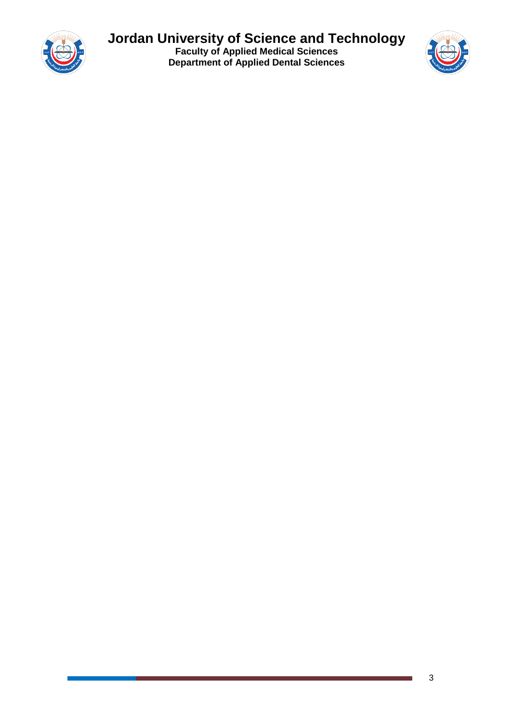

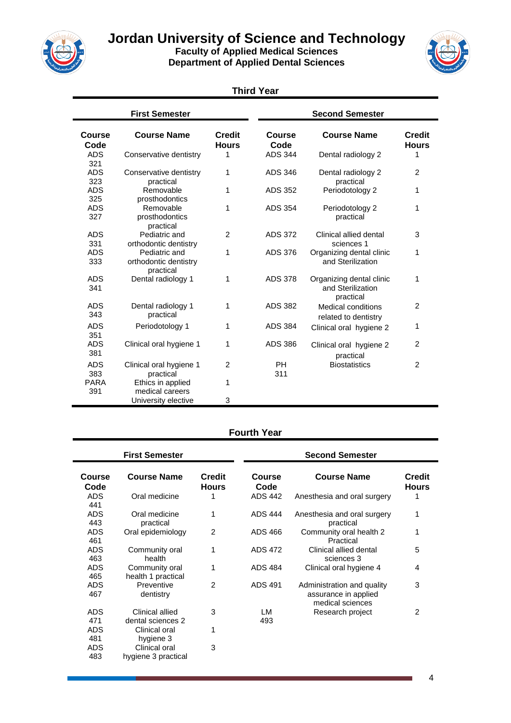

## **Jordan University of Science and Technology**

**Faculty of Applied Medical Sciences Department of Applied Dental Sciences**



### **Third Year**

| <b>First Semester</b> |                                                     |                               | <b>Second Semester</b> |                                                            |                        |
|-----------------------|-----------------------------------------------------|-------------------------------|------------------------|------------------------------------------------------------|------------------------|
| <b>Course</b><br>Code | <b>Course Name</b>                                  | <b>Credit</b><br><b>Hours</b> | <b>Course</b><br>Code  | <b>Course Name</b>                                         | Credit<br><b>Hours</b> |
| <b>ADS</b><br>321     | Conservative dentistry                              | 1                             | <b>ADS 344</b>         | Dental radiology 2                                         | 1                      |
| <b>ADS</b><br>323     | Conservative dentistry<br>practical                 | 1                             | <b>ADS 346</b>         | Dental radiology 2<br>practical                            | $\overline{2}$         |
| <b>ADS</b><br>325     | Removable<br>prosthodontics                         | 1                             | <b>ADS 352</b>         | Periodotology 2                                            | 1                      |
| <b>ADS</b><br>327     | Removable<br>prosthodontics<br>practical            | 1                             | <b>ADS 354</b>         | Periodotology 2<br>practical                               | 1                      |
| <b>ADS</b><br>331     | Pediatric and<br>orthodontic dentistry              | 2                             | <b>ADS 372</b>         | Clinical allied dental<br>sciences 1                       | 3                      |
| <b>ADS</b><br>333     | Pediatric and<br>orthodontic dentistry<br>practical | 1                             | <b>ADS 376</b>         | Organizing dental clinic<br>and Sterilization              | 1                      |
| <b>ADS</b><br>341     | Dental radiology 1                                  | 1                             | <b>ADS 378</b>         | Organizing dental clinic<br>and Sterilization<br>practical | 1                      |
| <b>ADS</b><br>343     | Dental radiology 1<br>practical                     | 1                             | ADS 382                | Medical conditions<br>related to dentistry                 | 2                      |
| <b>ADS</b><br>351     | Periodotology 1                                     | 1                             | <b>ADS 384</b>         | Clinical oral hygiene 2                                    | $\mathbf{1}$           |
| <b>ADS</b><br>381     | Clinical oral hygiene 1                             | 1                             | <b>ADS 386</b>         | Clinical oral hygiene 2<br>practical                       | $\overline{2}$         |
| <b>ADS</b><br>383     | Clinical oral hygiene 1<br>practical                | $\overline{2}$                | <b>PH</b><br>311       | <b>Biostatistics</b>                                       | $\overline{2}$         |
| <b>PARA</b><br>391    | Ethics in applied<br>medical careers                | 1                             |                        |                                                            |                        |
|                       | University elective                                 | 3                             |                        |                                                            |                        |

### **Fourth Year**

| <b>First Semester</b> |                                      |                               | <b>Second Semester</b> |                                                                        |                               |  |
|-----------------------|--------------------------------------|-------------------------------|------------------------|------------------------------------------------------------------------|-------------------------------|--|
| Course<br>Code        | <b>Course Name</b>                   | <b>Credit</b><br><b>Hours</b> | <b>Course</b><br>Code  | <b>Course Name</b>                                                     | <b>Credit</b><br><b>Hours</b> |  |
| ADS.<br>441           | Oral medicine                        | 1                             | <b>ADS 442</b>         | Anesthesia and oral surgery                                            |                               |  |
| ADS.<br>443           | Oral medicine<br>practical           | 1                             | <b>ADS 444</b>         | Anesthesia and oral surgery<br>practical                               | 1                             |  |
| ADS.<br>461           | Oral epidemiology                    | 2                             | ADS 466                | Community oral health 2<br>Practical                                   | 1                             |  |
| ADS.<br>463           | Community oral<br>health             | 1                             | <b>ADS 472</b>         | Clinical allied dental<br>sciences 3                                   | 5                             |  |
| ADS.<br>465           | Community oral<br>health 1 practical | 1                             | <b>ADS 484</b>         | Clinical oral hygiene 4                                                | 4                             |  |
| ADS.<br>467           | Preventive<br>dentistry              | $\mathcal{P}$                 | <b>ADS 491</b>         | Administration and quality<br>assurance in applied<br>medical sciences | 3                             |  |
| <b>ADS</b>            | Clinical allied                      | 3                             | LM                     | Research project                                                       | 2                             |  |
| 471                   | dental sciences 2                    |                               | 493                    |                                                                        |                               |  |
| <b>ADS</b>            | Clinical oral                        | 1                             |                        |                                                                        |                               |  |
| 481                   | hygiene 3                            |                               |                        |                                                                        |                               |  |
| ADS.<br>483           | Clinical oral<br>hygiene 3 practical | 3                             |                        |                                                                        |                               |  |